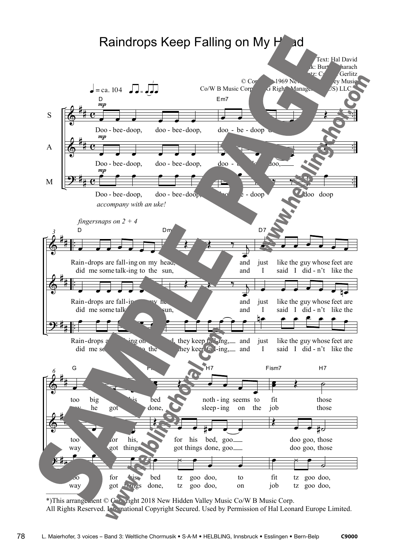

78 L. Maierhofer, 3 voices – Band 3: Weltliche Chormusik • S·A·M • HELBLING, Innsbruck • Esslingen • Bern-Belp **C9000**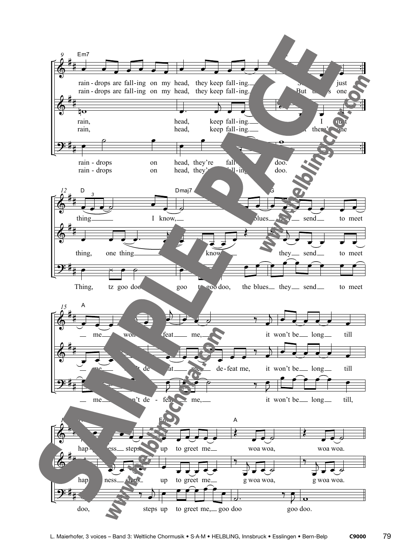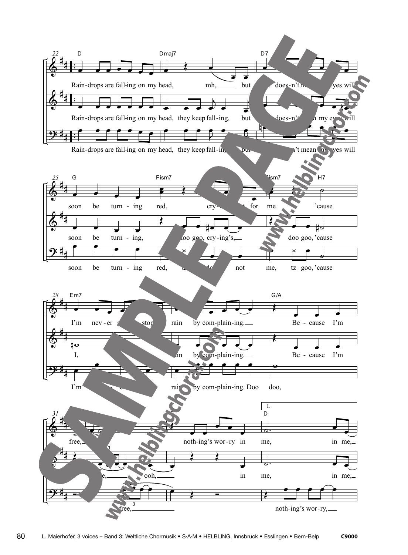